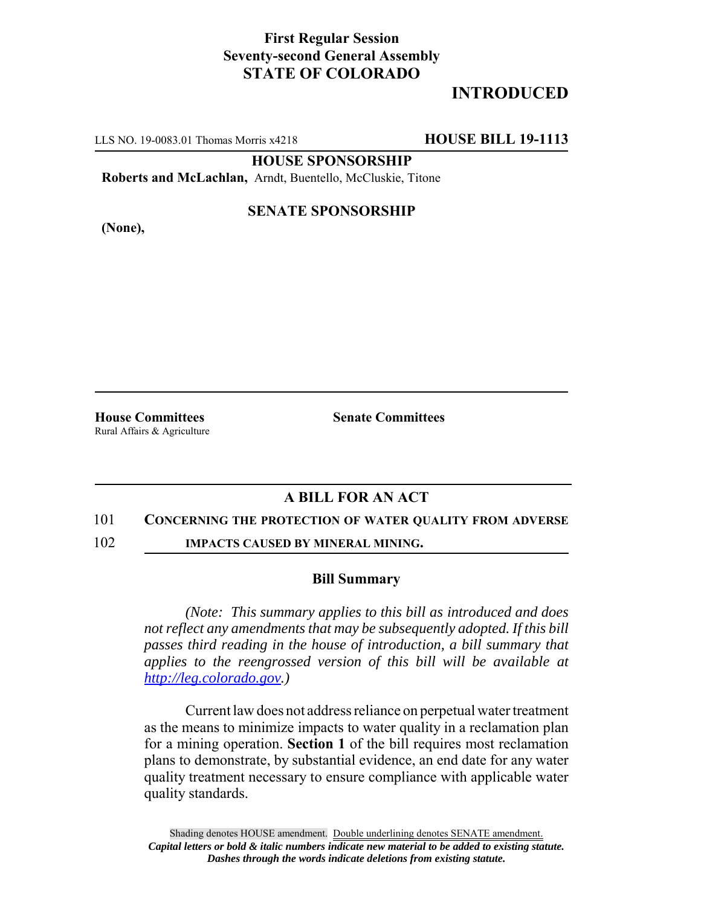## **First Regular Session Seventy-second General Assembly STATE OF COLORADO**

# **INTRODUCED**

LLS NO. 19-0083.01 Thomas Morris x4218 **HOUSE BILL 19-1113**

**HOUSE SPONSORSHIP**

**Roberts and McLachlan,** Arndt, Buentello, McCluskie, Titone

**(None),**

### **SENATE SPONSORSHIP**

Rural Affairs & Agriculture

**House Committees Senate Committees** 

## **A BILL FOR AN ACT**

#### 101 **CONCERNING THE PROTECTION OF WATER QUALITY FROM ADVERSE**

102 **IMPACTS CAUSED BY MINERAL MINING.**

#### **Bill Summary**

*(Note: This summary applies to this bill as introduced and does not reflect any amendments that may be subsequently adopted. If this bill passes third reading in the house of introduction, a bill summary that applies to the reengrossed version of this bill will be available at http://leg.colorado.gov.)*

Current law does not address reliance on perpetual water treatment as the means to minimize impacts to water quality in a reclamation plan for a mining operation. **Section 1** of the bill requires most reclamation plans to demonstrate, by substantial evidence, an end date for any water quality treatment necessary to ensure compliance with applicable water quality standards.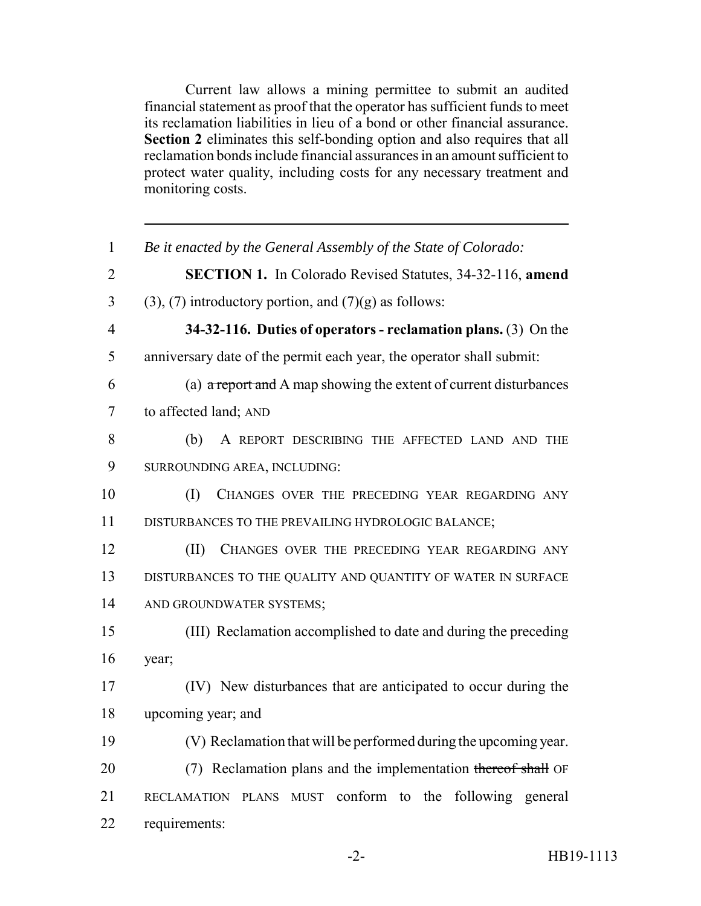Current law allows a mining permittee to submit an audited financial statement as proof that the operator has sufficient funds to meet its reclamation liabilities in lieu of a bond or other financial assurance. **Section 2** eliminates this self-bonding option and also requires that all reclamation bonds include financial assurances in an amount sufficient to protect water quality, including costs for any necessary treatment and monitoring costs.

| $\mathbf{1}$   | Be it enacted by the General Assembly of the State of Colorado:          |
|----------------|--------------------------------------------------------------------------|
| $\overline{2}$ | <b>SECTION 1.</b> In Colorado Revised Statutes, 34-32-116, amend         |
| 3              | $(3)$ , $(7)$ introductory portion, and $(7)(g)$ as follows:             |
| $\overline{4}$ | 34-32-116. Duties of operators - reclamation plans. $(3)$ On the         |
| 5              | anniversary date of the permit each year, the operator shall submit:     |
| 6              | (a) $\alpha$ report and A map showing the extent of current disturbances |
| $\tau$         | to affected land; AND                                                    |
| 8              | (b)<br>A REPORT DESCRIBING THE AFFECTED LAND AND THE                     |
| 9              | SURROUNDING AREA, INCLUDING:                                             |
| 10             | (I)<br>CHANGES OVER THE PRECEDING YEAR REGARDING ANY                     |
| 11             | DISTURBANCES TO THE PREVAILING HYDROLOGIC BALANCE;                       |
| 12             | (II)<br>CHANGES OVER THE PRECEDING YEAR REGARDING ANY                    |
| 13             | DISTURBANCES TO THE QUALITY AND QUANTITY OF WATER IN SURFACE             |
| 14             | AND GROUNDWATER SYSTEMS;                                                 |
| 15             | (III) Reclamation accomplished to date and during the preceding          |
| 16             | year;                                                                    |
| 17             | (IV) New disturbances that are anticipated to occur during the           |
| 18             | upcoming year; and                                                       |
| 19             | (V) Reclamation that will be performed during the upcoming year.         |
| 20             | (7) Reclamation plans and the implementation thereof shall OF            |
| 21             | RECLAMATION PLANS MUST conform to the following general                  |
| 22             | requirements:                                                            |
|                |                                                                          |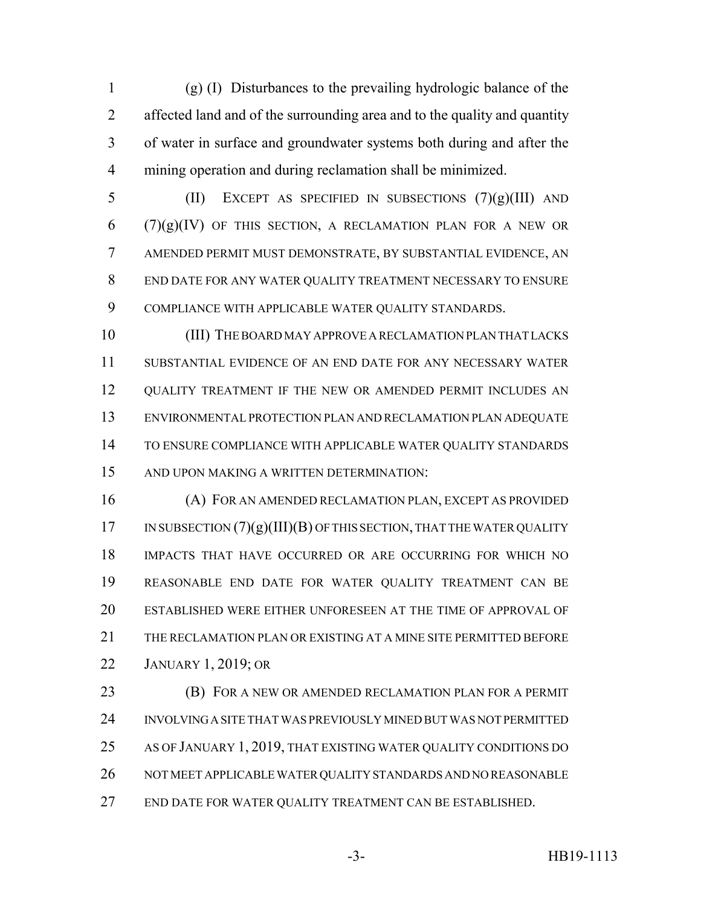(g) (I) Disturbances to the prevailing hydrologic balance of the affected land and of the surrounding area and to the quality and quantity of water in surface and groundwater systems both during and after the mining operation and during reclamation shall be minimized.

5 (II) EXCEPT AS SPECIFIED IN SUBSECTIONS  $(7)(g)(III)$  AND (7)(g)(IV) OF THIS SECTION, A RECLAMATION PLAN FOR A NEW OR AMENDED PERMIT MUST DEMONSTRATE, BY SUBSTANTIAL EVIDENCE, AN END DATE FOR ANY WATER QUALITY TREATMENT NECESSARY TO ENSURE COMPLIANCE WITH APPLICABLE WATER QUALITY STANDARDS.

 (III) THE BOARD MAY APPROVE A RECLAMATION PLAN THAT LACKS SUBSTANTIAL EVIDENCE OF AN END DATE FOR ANY NECESSARY WATER QUALITY TREATMENT IF THE NEW OR AMENDED PERMIT INCLUDES AN ENVIRONMENTAL PROTECTION PLAN AND RECLAMATION PLAN ADEQUATE TO ENSURE COMPLIANCE WITH APPLICABLE WATER QUALITY STANDARDS AND UPON MAKING A WRITTEN DETERMINATION:

 (A) FOR AN AMENDED RECLAMATION PLAN, EXCEPT AS PROVIDED IN SUBSECTION  $(7)(g)(III)(B)$  OF THIS SECTION, THAT THE WATER QUALITY IMPACTS THAT HAVE OCCURRED OR ARE OCCURRING FOR WHICH NO REASONABLE END DATE FOR WATER QUALITY TREATMENT CAN BE ESTABLISHED WERE EITHER UNFORESEEN AT THE TIME OF APPROVAL OF THE RECLAMATION PLAN OR EXISTING AT A MINE SITE PERMITTED BEFORE JANUARY 1, 2019; OR

 (B) FOR A NEW OR AMENDED RECLAMATION PLAN FOR A PERMIT INVOLVING A SITE THAT WAS PREVIOUSLY MINED BUT WAS NOT PERMITTED AS OF JANUARY 1, 2019, THAT EXISTING WATER QUALITY CONDITIONS DO NOT MEET APPLICABLE WATER QUALITY STANDARDS AND NO REASONABLE END DATE FOR WATER QUALITY TREATMENT CAN BE ESTABLISHED.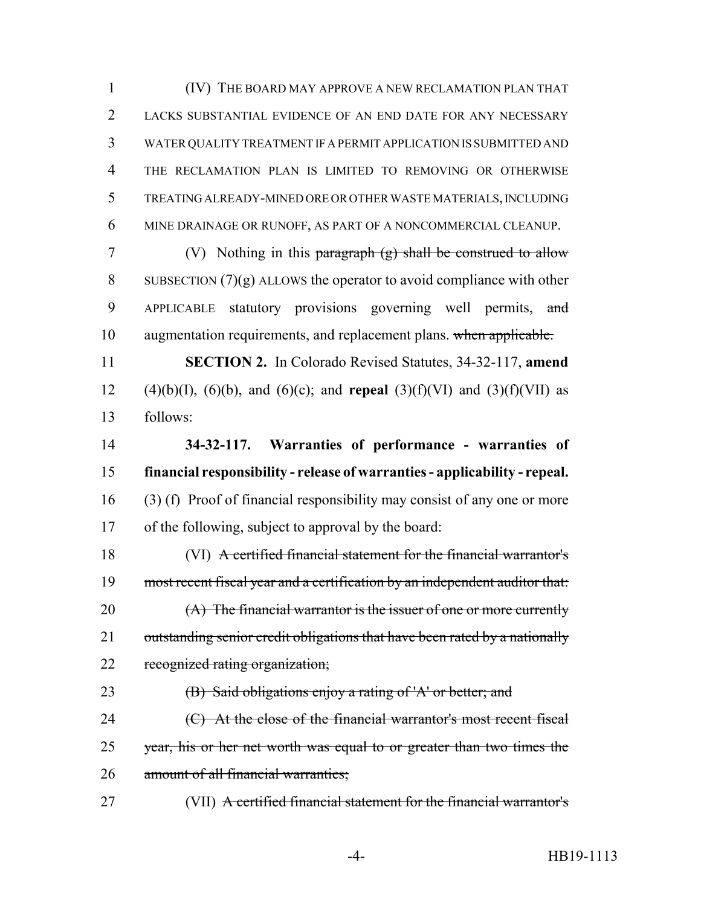(IV) THE BOARD MAY APPROVE A NEW RECLAMATION PLAN THAT LACKS SUBSTANTIAL EVIDENCE OF AN END DATE FOR ANY NECESSARY WATER QUALITY TREATMENT IF A PERMIT APPLICATION IS SUBMITTED AND THE RECLAMATION PLAN IS LIMITED TO REMOVING OR OTHERWISE TREATING ALREADY-MINED ORE OR OTHER WASTE MATERIALS, INCLUDING MINE DRAINAGE OR RUNOFF, AS PART OF A NONCOMMERCIAL CLEANUP.

 (V) Nothing in this paragraph (g) shall be construed to allow 8 SUBSECTION  $(7)(g)$  ALLOWS the operator to avoid compliance with other 9 APPLICABLE statutory provisions governing well permits, and augmentation requirements, and replacement plans. when applicable.

 **SECTION 2.** In Colorado Revised Statutes, 34-32-117, **amend** 12 (4)(b)(I), (6)(b), and (6)(c); and **repeal** (3)(f)(VI) and (3)(f)(VII) as follows:

 **34-32-117. Warranties of performance - warranties of financial responsibility - release of warranties - applicability - repeal.** (3) (f) Proof of financial responsibility may consist of any one or more of the following, subject to approval by the board:

 (VI) A certified financial statement for the financial warrantor's most recent fiscal year and a certification by an independent auditor that: 20 (A) The financial warrantor is the issuer of one or more currently 21 outstanding senior credit obligations that have been rated by a nationally 22 recognized rating organization;

 (B) Said obligations enjoy a rating of 'A' or better; and 24 (C) At the close of the financial warrantor's most recent fiscal 25 year, his or her net worth was equal to or greater than two times the 26 amount of all financial warranties;

(VII) A certified financial statement for the financial warrantor's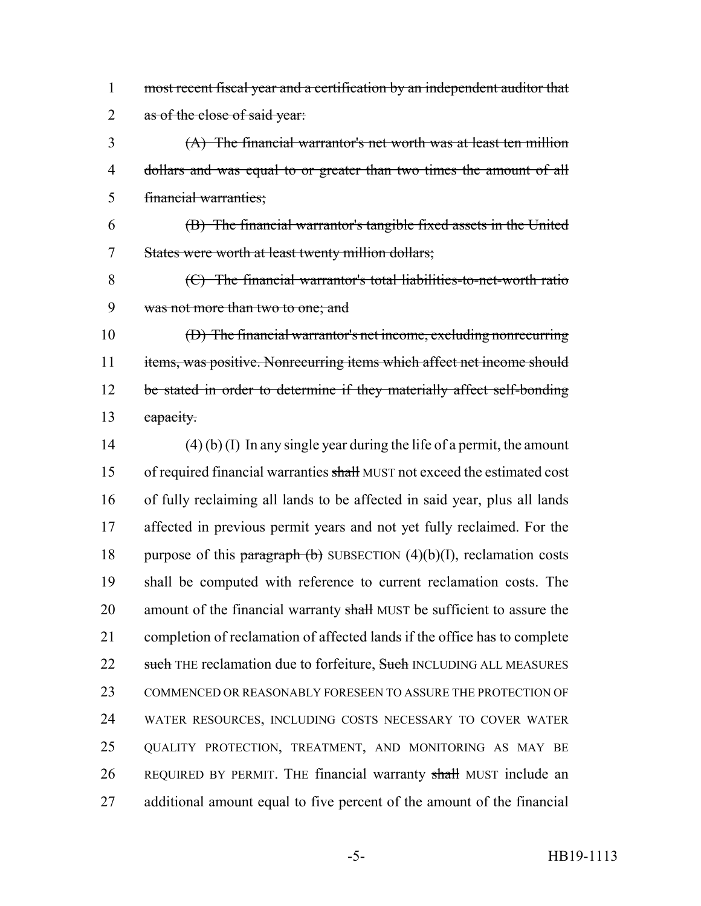most recent fiscal year and a certification by an independent auditor that 2 as of the close of said year:

 (A) The financial warrantor's net worth was at least ten million dollars and was equal to or greater than two times the amount of all financial warranties;

 (B) The financial warrantor's tangible fixed assets in the United States were worth at least twenty million dollars;

 (C) The financial warrantor's total liabilities-to-net-worth ratio was not more than two to one; and

 (D) The financial warrantor's net income, excluding nonrecurring 11 items, was positive. Nonrecurring items which affect net income should 12 be stated in order to determine if they materially affect self-bonding 13 capacity.

 (4) (b) (I) In any single year during the life of a permit, the amount 15 of required financial warranties shall MUST not exceed the estimated cost of fully reclaiming all lands to be affected in said year, plus all lands affected in previous permit years and not yet fully reclaimed. For the 18 purpose of this paragraph  $(b)$  SUBSECTION  $(4)(b)(I)$ , reclamation costs shall be computed with reference to current reclamation costs. The 20 amount of the financial warranty shall MUST be sufficient to assure the completion of reclamation of affected lands if the office has to complete 22 such THE reclamation due to forfeiture, Such INCLUDING ALL MEASURES COMMENCED OR REASONABLY FORESEEN TO ASSURE THE PROTECTION OF WATER RESOURCES, INCLUDING COSTS NECESSARY TO COVER WATER QUALITY PROTECTION, TREATMENT, AND MONITORING AS MAY BE 26 REQUIRED BY PERMIT. THE financial warranty shall MUST include an additional amount equal to five percent of the amount of the financial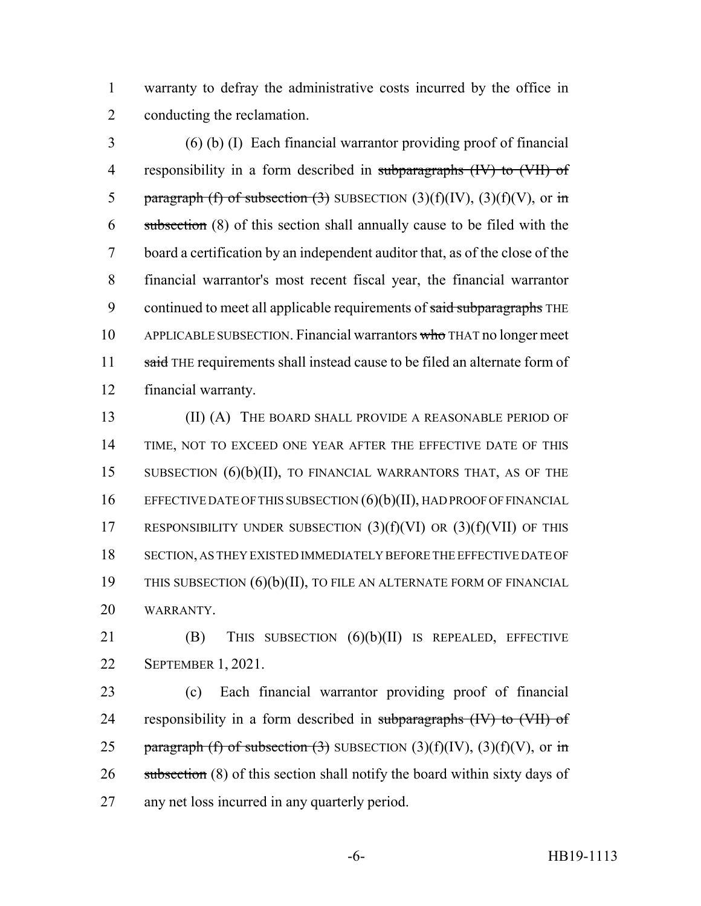1 warranty to defray the administrative costs incurred by the office in 2 conducting the reclamation.

3 (6) (b) (I) Each financial warrantor providing proof of financial 4 responsibility in a form described in subparagraphs (IV) to (VII) of 5 paragraph (f) of subsection (3) SUBSECTION  $(3)(f)(IV)$ ,  $(3)(f)(V)$ , or in 6 subsection (8) of this section shall annually cause to be filed with the 7 board a certification by an independent auditor that, as of the close of the 8 financial warrantor's most recent fiscal year, the financial warrantor 9 continued to meet all applicable requirements of said subparagraphs THE 10 APPLICABLE SUBSECTION. Financial warrantors who THAT no longer meet 11 said THE requirements shall instead cause to be filed an alternate form of 12 financial warranty.

 (II) (A) THE BOARD SHALL PROVIDE A REASONABLE PERIOD OF TIME, NOT TO EXCEED ONE YEAR AFTER THE EFFECTIVE DATE OF THIS SUBSECTION (6)(b)(II), TO FINANCIAL WARRANTORS THAT, AS OF THE 16 EFFECTIVE DATE OF THIS SUBSECTION  $(6)(b)(II)$ , HAD PROOF OF FINANCIAL 17 RESPONSIBILITY UNDER SUBSECTION  $(3)(f)(V)$  OR  $(3)(f)(V)$  OF THIS SECTION, AS THEY EXISTED IMMEDIATELY BEFORE THE EFFECTIVE DATE OF 19 THIS SUBSECTION (6)(b)(II), TO FILE AN ALTERNATE FORM OF FINANCIAL WARRANTY.

21 **(B)** THIS SUBSECTION  $(6)(b)(II)$  IS REPEALED, EFFECTIVE 22 SEPTEMBER 1, 2021.

23 (c) Each financial warrantor providing proof of financial 24 responsibility in a form described in subparagraphs (IV) to (VII) of 25 paragraph (f) of subsection (3) SUBSECTION  $(3)(f)(IV)$ ,  $(3)(f)(V)$ , or in 26 subsection (8) of this section shall notify the board within sixty days of 27 any net loss incurred in any quarterly period.